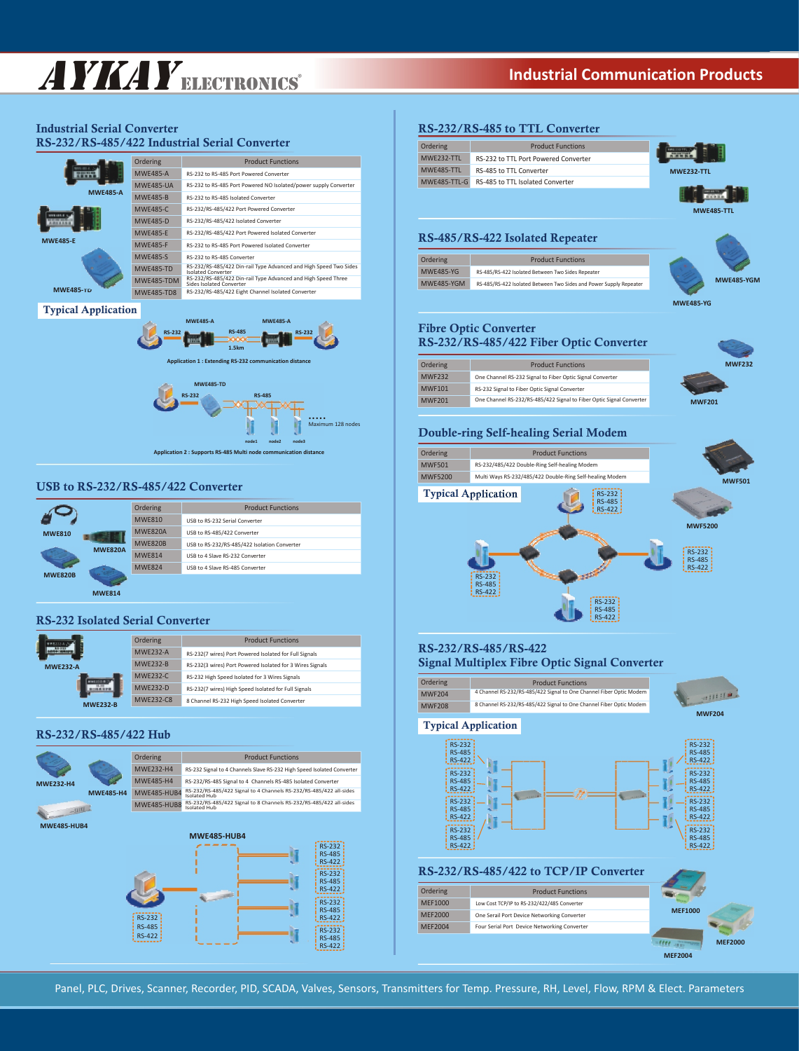# AYKAYELECTRONICS **Industrial Communication Products**

## **Industrial Serial Converter RS-232/RS-485/422 Industrial Serial Converter**

|                  | Ordering          | <b>Product Eunctions</b>                                                                  |
|------------------|-------------------|-------------------------------------------------------------------------------------------|
|                  | <b>MWF485-A</b>   | RS-232 to RS-485 Port Powered Converter                                                   |
|                  | <b>MWF485-UA</b>  | RS-232 to RS-485 Port Powered NO Isolated/power supply Converter                          |
| <b>MWE485-A</b>  | <b>MWF485-B</b>   | RS-232 to RS-485 Isolated Converter                                                       |
|                  | <b>MWF485-C</b>   | RS-232/RS-485/422 Port Powered Converter                                                  |
|                  | <b>MWF485-D</b>   | RS-232/RS-485/422 Isolated Converter                                                      |
|                  | <b>MWF485-E</b>   | RS-232/RS-485/422 Port Powered Isolated Converter                                         |
| <b>MWE485-E</b>  | <b>MWF485-F</b>   | RS-232 to RS-485 Port Powered Isolated Converter                                          |
|                  | <b>MWF485-S</b>   | RS-232 to RS-485 Converter                                                                |
|                  | <b>MWF485-TD</b>  | RS-232/RS-485/422 Din-rail Type Advanced and High Speed Two Sides<br>Isolated Converter   |
|                  | <b>MWF485-TDM</b> | RS-232/RS-485/422 Din-rail Type Advanced and High Speed Three<br>Sides Isolated Converter |
| <b>MWE485-TD</b> | <b>MWF485-TD8</b> | RS-232/RS-485/422 Eight Channel Isolated Converter                                        |

## **Typical Application**



**Application 2 : Supports RS-485 Multi node communication distance**

## **USB to RS-232/RS-485/422 Converter**

|                | Ordering       | <b>Product Functions</b>                     |
|----------------|----------------|----------------------------------------------|
|                | <b>MWF810</b>  | USB to RS-232 Serial Converter               |
| <b>MWE810</b>  | <b>MWF820A</b> | USB to RS-485/422 Converter                  |
| <b>MWE820A</b> | <b>MWE820B</b> | USB to RS-232/RS-485/422 Isolation Converter |
|                | <b>MWF814</b>  | USB to 4 Slave RS-232 Converter              |
|                | <b>MWF824</b>  | USB to 4 Slave RS-485 Converter              |
| <b>MWE820B</b> |                |                                              |
| <b>MWE814</b>  |                |                                              |

## **RS-232 Isolated Serial Converter**

|                 | Ordering        | <b>Product Functions</b>                                  |
|-----------------|-----------------|-----------------------------------------------------------|
|                 | <b>MWF232-A</b> | RS-232(7 wires) Port Powered Isolated for Full Signals    |
| <b>MWE232-A</b> | MWF232-R        | RS-232(3 wires) Port Powered Isolated for 3 Wires Signals |
|                 | MWF232-C        | RS-232 High Speed Isolated for 3 Wires Signals            |
|                 | <b>MWF232-D</b> | RS-232(7 wires) High Speed Isolated for Full Signals      |
| MWF232-R        | MWF232-C8       | 8 Channel RS-232 High Speed Isolated Converter            |

## **RS-232/RS-485/422 Hub**



Ordering MWE232-H4 RS-232 Signal to 4 Channels Slave RS-232 High Speed Isolated Converter MWE485-H4 RS-232/RS-485 Signal to 4 Channels RS-485 Isolated Converter MWE485-HUB8 RS-232/RS-485/422 Signal to 4 Channels RS-232/RS-485/422 all-sides Isolated Hub RS-232/RS-485/422 Signal to 8 Channels RS-232/RS-485/422 all-sides Isolated Hub Product Functions



## **RS-232/RS-485 to TTL Converter**

| Ordering   | <b>Product Functions</b>                      |                   |
|------------|-----------------------------------------------|-------------------|
| MWF232-TTL | RS-232 to TTL Port Powered Converter          |                   |
| MWF485-TTL | RS-485 to TTL Converter                       | <b>MWE232-TTL</b> |
|            | MWE485-TTL-G RS-485 to TTL Isolated Converter |                   |
|            |                                               |                   |

## **RS-485/RS-422 Isolated Repeater**

| Ordering          | <b>Product Functions</b>                                           |
|-------------------|--------------------------------------------------------------------|
| <b>MWF485-YG</b>  | RS-485/RS-422 Isolated Between Two Sides Repeater                  |
| <b>MWF485-YGM</b> | RS-485/RS-422 Isolated Between Two Sides and Power Supply Repeater |



**MWE485-YGM**

**MWF232**

**MWE485-TTL**

### **Fibre Optic Converter RS-232/RS-485/422 Fiber Optic Converter**

| Ordering<br><b>Product Functions</b> | RS-232/RS-463/422 Fiber Optic Converter |  |  |
|--------------------------------------|-----------------------------------------|--|--|
|                                      |                                         |  |  |

| <b>MWF232</b> | One Channel RS-232 Signal to Fiber Optic Signal Converter            |               |
|---------------|----------------------------------------------------------------------|---------------|
| <b>MWF101</b> | RS-232 Signal to Fiber Optic Signal Converter                        |               |
| <b>MWF201</b> | One Channel RS-232/RS-485/422 Signal to Fiber Optic Signal Converter | <b>MWF201</b> |
|               |                                                                      |               |

## **Double-ring Self-healing Serial Modem**



## **RS-232/RS-485/RS-422**

**Signal Multiplex Fibre Optic Signal Converter**

| Ordering      | <b>Product Functions</b>                                            |               |
|---------------|---------------------------------------------------------------------|---------------|
| <b>MWF204</b> | 4 Channel RS-232/RS-485/422 Signal to One Channel Fiber Optic Modem | $\sim$ 11111  |
| <b>MWF208</b> | 8 Channel RS-232/RS-485/422 Signal to One Channel Fiber Optic Modem |               |
|               |                                                                     | <b>MWF204</b> |

**Typical Application**



## **RS-232/RS-485/422 to TCP/IP Converter**

| <b>Ordering</b> | <b>Product Functions</b>                     |                |
|-----------------|----------------------------------------------|----------------|
| MEF1000         | Low Cost TCP/IP to RS-232/422/485 Converter  |                |
| MFF2000         | One Serail Port Device Networking Converter  | <b>MEF1000</b> |
| MFF2004         | Four Serial Port Device Networking Converter |                |
|                 |                                              | <b>MEF2000</b> |

**MEF2004**